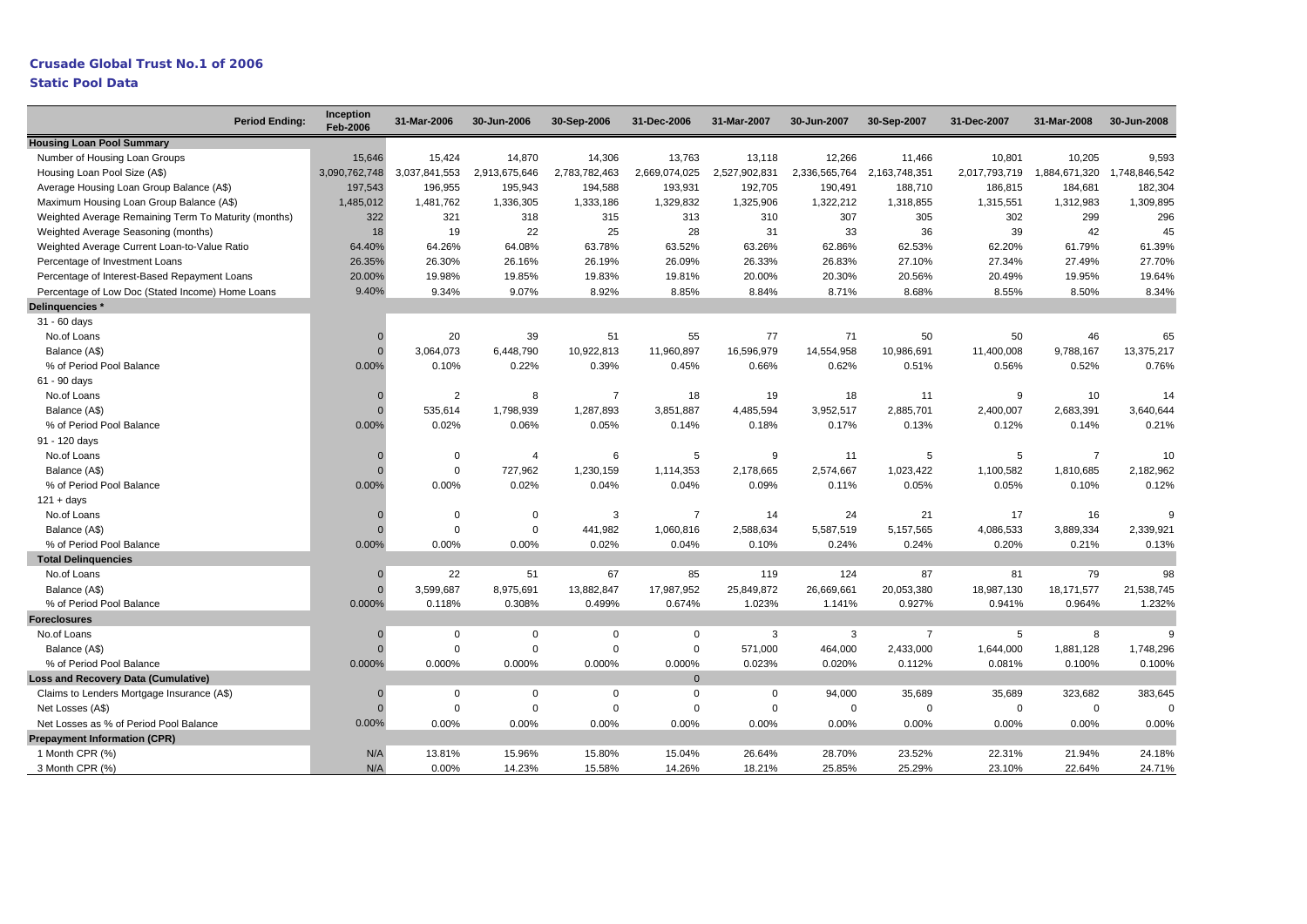## **Crusade Global Trust No.1 of 2006 Static Pool Data**

| <b>Period Ending:</b>                                | <b>Inception</b><br><b>Feb-2006</b> | 31-Mar-2006    | 30-Jun-2006    | 30-Sep-2006    | 31-Dec-2006    | 31-Mar-2007   | 30-Jun-2007   | 30-Sep-2007    | 31-Dec-2007   | 31-Mar-2008    | 30-Jun-2008   |
|------------------------------------------------------|-------------------------------------|----------------|----------------|----------------|----------------|---------------|---------------|----------------|---------------|----------------|---------------|
| <b>Housing Loan Pool Summary</b>                     |                                     |                |                |                |                |               |               |                |               |                |               |
| Number of Housing Loan Groups                        | 15,646                              | 15,424         | 14,870         | 14,306         | 13,763         | 13,118        | 12,266        | 11,466         | 10,801        | 10,205         | 9,593         |
| Housing Loan Pool Size (A\$)                         | 3,090,762,748                       | 3,037,841,553  | 2,913,675,646  | 2,783,782,463  | 2,669,074,025  | 2,527,902,831 | 2,336,565,764 | 2,163,748,351  | 2,017,793,719 | 1,884,671,320  | 1,748,846,542 |
| Average Housing Loan Group Balance (A\$)             | 197,543                             | 196,955        | 195,943        | 194,588        | 193,931        | 192,705       | 190,491       | 188,710        | 186,815       | 184,681        | 182,304       |
| Maximum Housing Loan Group Balance (A\$)             | 1,485,012                           | 1,481,762      | 1,336,305      | 1,333,186      | 1,329,832      | 1,325,906     | 1,322,212     | 1,318,855      | 1,315,551     | 1,312,983      | 1,309,895     |
| Weighted Average Remaining Term To Maturity (months) | 322                                 | 321            | 318            | 315            | 313            | 310           | 307           | 305            | 302           | 299            | 296           |
| Weighted Average Seasoning (months)                  | 18                                  | 19             | 22             | 25             | 28             | 31            | 33            | 36             | 39            | 42             | 45            |
| Weighted Average Current Loan-to-Value Ratio         | 64.40%                              | 64.26%         | 64.08%         | 63.78%         | 63.52%         | 63.26%        | 62.86%        | 62.53%         | 62.20%        | 61.79%         | 61.39%        |
| Percentage of Investment Loans                       | 26.35%                              | 26.30%         | 26.16%         | 26.19%         | 26.09%         | 26.33%        | 26.83%        | 27.10%         | 27.34%        | 27.49%         | 27.70%        |
| Percentage of Interest-Based Repayment Loans         | 20.00%                              | 19.98%         | 19.85%         | 19.83%         | 19.81%         | 20.00%        | 20.30%        | 20.56%         | 20.49%        | 19.95%         | 19.64%        |
| Percentage of Low Doc (Stated Income) Home Loans     | 9.40%                               | 9.34%          | 9.07%          | 8.92%          | 8.85%          | 8.84%         | 8.71%         | 8.68%          | 8.55%         | 8.50%          | 8.34%         |
| Delinquencies *                                      |                                     |                |                |                |                |               |               |                |               |                |               |
| 31 - 60 days                                         |                                     |                |                |                |                |               |               |                |               |                |               |
| No.of Loans                                          |                                     | 20             | 39             | 51             | 55             | 77            | 71            | 50             | 50            | 46             | 65            |
| Balance (A\$)                                        |                                     | 3,064,073      | 6,448,790      | 10,922,813     | 11,960,897     | 16,596,979    | 14,554,958    | 10,986,691     | 11,400,008    | 9,788,167      | 13,375,217    |
| % of Period Pool Balance                             | 0.00%                               | 0.10%          | 0.22%          | 0.39%          | 0.45%          | 0.66%         | 0.62%         | 0.51%          | 0.56%         | 0.52%          | 0.76%         |
| 61 - 90 days                                         |                                     |                |                |                |                |               |               |                |               |                |               |
| No.of Loans                                          |                                     | $\overline{2}$ | 8              | $\overline{7}$ | 18             | 19            | 18            | 11             | 9             | 10             | 14            |
| Balance (A\$)                                        |                                     | 535,614        | 1,798,939      | 1,287,893      | 3,851,887      | 4,485,594     | 3,952,517     | 2,885,701      | 2,400,007     | 2,683,391      | 3,640,644     |
| % of Period Pool Balance                             | 0.00%                               | 0.02%          | 0.06%          | 0.05%          | 0.14%          | 0.18%         | 0.17%         | 0.13%          | 0.12%         | 0.14%          | 0.21%         |
| 91 - 120 days                                        |                                     |                |                |                |                |               |               |                |               |                |               |
| No.of Loans                                          |                                     | $\Omega$       | $\overline{4}$ | 6              | 5              | 9             | 11            | 5              | 5             | $\overline{7}$ | 10            |
| Balance (A\$)                                        |                                     | $\Omega$       | 727,962        | 1,230,159      | 1,114,353      | 2,178,665     | 2,574,667     | 1,023,422      | 1,100,582     | 1,810,685      | 2,182,962     |
| % of Period Pool Balance                             | 0.00%                               | 0.00%          | 0.02%          | 0.04%          | 0.04%          | 0.09%         | 0.11%         | 0.05%          | 0.05%         | 0.10%          | 0.12%         |
| $121 + days$                                         |                                     |                |                |                |                |               |               |                |               |                |               |
| No.of Loans                                          |                                     | $\Omega$       | $\mathbf 0$    | 3              | $\overline{7}$ | 14            | 24            | 21             | 17            | 16             | g             |
| Balance (A\$)                                        |                                     | $\Omega$       | $\mathbf 0$    | 441,982        | 1,060,816      | 2,588,634     | 5,587,519     | 5,157,565      | 4,086,533     | 3,889,334      | 2,339,921     |
| % of Period Pool Balance                             | 0.00%                               | 0.00%          | 0.00%          | 0.02%          | 0.04%          | 0.10%         | 0.24%         | 0.24%          | 0.20%         | 0.21%          | 0.13%         |
| <b>Total Delinguencies</b>                           |                                     |                |                |                |                |               |               |                |               |                |               |
| No.of Loans                                          | $\Omega$                            | 22             | 51             | 67             | 85             | 119           | 124           | 87             | 81            | 79             | 98            |
| Balance (A\$)                                        | $\Omega$                            | 3,599,687      | 8,975,691      | 13,882,847     | 17,987,952     | 25,849,872    | 26,669,661    | 20,053,380     | 18,987,130    | 18,171,577     | 21,538,745    |
| % of Period Pool Balance                             | 0.000%                              | 0.118%         | 0.308%         | 0.499%         | 0.674%         | 1.023%        | 1.141%        | 0.927%         | 0.941%        | 0.964%         | 1.232%        |
| <b>Foreclosures</b>                                  |                                     |                |                |                |                |               |               |                |               |                |               |
| No.of Loans                                          |                                     | $\mathbf 0$    | $\mathbf 0$    | $\mathbf 0$    | $\mathbf 0$    | 3             | 3             | $\overline{7}$ | 5             | 8              | 9             |
| Balance (A\$)                                        |                                     | $\Omega$       | $\Omega$       | $\Omega$       | $\Omega$       | 571,000       | 464,000       | 2,433,000      | 1,644,000     | 1,881,128      | 1,748,296     |
| % of Period Pool Balance                             | 0.000%                              | 0.000%         | 0.000%         | 0.000%         | 0.000%         | 0.023%        | 0.020%        | 0.112%         | 0.081%        | 0.100%         | 0.100%        |
| <b>Loss and Recovery Data (Cumulative)</b>           |                                     |                |                |                | $\mathbf{0}$   |               |               |                |               |                |               |
| Claims to Lenders Mortgage Insurance (A\$)           |                                     | $\mathbf 0$    | $\mathbf 0$    | $\mathbf 0$    | $\mathbf 0$    | 0             | 94,000        | 35,689         | 35,689        | 323,682        | 383,645       |
| Net Losses (A\$)                                     |                                     | $\Omega$       | $\mathbf 0$    | $\mathbf 0$    | $\overline{0}$ | 0             | $\Omega$      | $\mathbf 0$    | $\mathbf 0$   | $\mathbf 0$    |               |
| Net Losses as % of Period Pool Balance               | 0.00%                               | 0.00%          | 0.00%          | 0.00%          | 0.00%          | 0.00%         | 0.00%         | 0.00%          | 0.00%         | 0.00%          | 0.00%         |
| <b>Prepayment Information (CPR)</b>                  |                                     |                |                |                |                |               |               |                |               |                |               |
| 1 Month CPR (%)                                      | N/A                                 | 13.81%         | 15.96%         | 15.80%         | 15.04%         | 26.64%        | 28.70%        | 23.52%         | 22.31%        | 21.94%         | 24.18%        |
| 3 Month CPR (%)                                      | N/A                                 | 0.00%          | 14.23%         | 15.58%         | 14.26%         | 18.21%        | 25.85%        | 25.29%         | 23.10%        | 22.64%         | 24.71%        |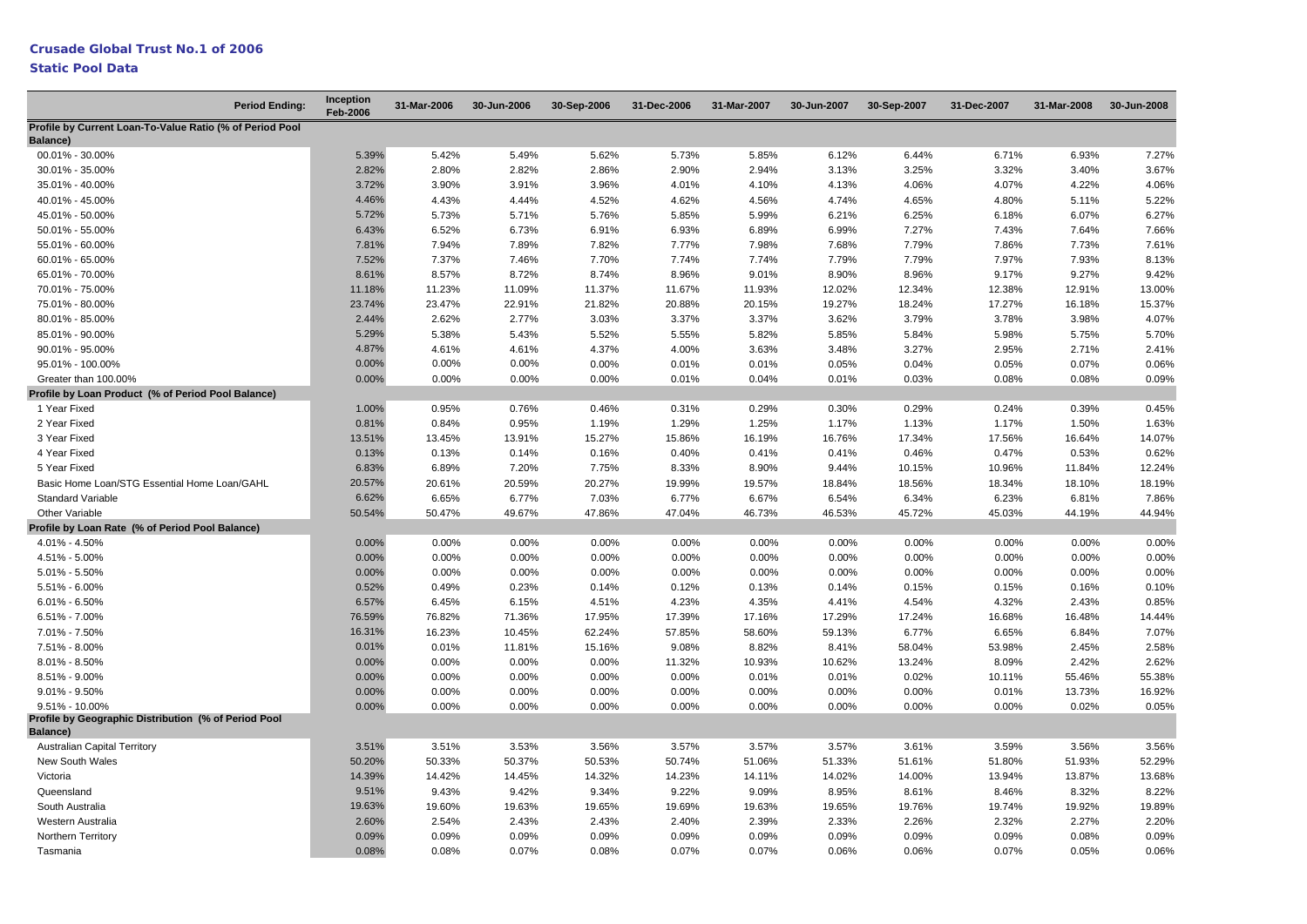## **Static Pool Data**

| <b>Period Ending:</b>                                                   | Inception<br><b>Feb-2006</b> | 31-Mar-2006 | 30-Jun-2006 | 30-Sep-2006 | 31-Dec-2006 | 31-Mar-2007 | 30-Jun-2007 | 30-Sep-2007 | 31-Dec-2007 | 31-Mar-2008 | 30-Jun-2008 |
|-------------------------------------------------------------------------|------------------------------|-------------|-------------|-------------|-------------|-------------|-------------|-------------|-------------|-------------|-------------|
| Profile by Current Loan-To-Value Ratio (% of Period Pool<br>Balance)    |                              |             |             |             |             |             |             |             |             |             |             |
| 00.01% - 30.00%                                                         | 5.39%                        | 5.42%       | 5.49%       | 5.62%       | 5.73%       | 5.85%       | 6.12%       | 6.44%       | 6.71%       | 6.93%       | 7.27%       |
| 30.01% - 35.00%                                                         | 2.82%                        | 2.80%       | 2.82%       | 2.86%       | 2.90%       | 2.94%       | 3.13%       | 3.25%       | 3.32%       | 3.40%       | 3.67%       |
| 35.01% - 40.00%                                                         | 3.72%                        | 3.90%       | 3.91%       | 3.96%       | 4.01%       | 4.10%       | 4.13%       | 4.06%       | 4.07%       | 4.22%       | 4.06%       |
| 40.01% - 45.00%                                                         | 4.46%                        | 4.43%       | 4.44%       | 4.52%       | 4.62%       | 4.56%       | 4.74%       | 4.65%       | 4.80%       | 5.11%       | 5.22%       |
| 45.01% - 50.00%                                                         | 5.72%                        | 5.73%       | 5.71%       | 5.76%       | 5.85%       | 5.99%       | 6.21%       | 6.25%       | 6.18%       | 6.07%       | 6.27%       |
| 50.01% - 55.00%                                                         | 6.43%                        | 6.52%       | 6.73%       | 6.91%       | 6.93%       | 6.89%       | 6.99%       | 7.27%       | 7.43%       | 7.64%       | 7.66%       |
| 55.01% - 60.00%                                                         | 7.81%                        | 7.94%       | 7.89%       | 7.82%       | 7.77%       | 7.98%       | 7.68%       | 7.79%       | 7.86%       | 7.73%       | 7.61%       |
| 60.01% - 65.00%                                                         | 7.52%                        | 7.37%       | 7.46%       | 7.70%       | 7.74%       | 7.74%       | 7.79%       | 7.79%       | 7.97%       | 7.93%       | 8.13%       |
| 65.01% - 70.00%                                                         | 8.61%                        | 8.57%       | 8.72%       | 8.74%       | 8.96%       | 9.01%       | 8.90%       | 8.96%       | 9.17%       | 9.27%       | 9.42%       |
| 70.01% - 75.00%                                                         | 11.18%                       | 11.23%      | 11.09%      | 11.37%      | 11.67%      | 11.93%      | 12.02%      | 12.34%      | 12.38%      | 12.91%      | 13.00%      |
| 75.01% - 80.00%                                                         | 23.74%                       | 23.47%      | 22.91%      | 21.82%      | 20.88%      | 20.15%      | 19.27%      | 18.24%      | 17.27%      | 16.18%      | 15.37%      |
| 80.01% - 85.00%                                                         | 2.44%                        | 2.62%       | 2.77%       | 3.03%       | 3.37%       | 3.37%       | 3.62%       | 3.79%       | 3.78%       | 3.98%       | 4.07%       |
| 85.01% - 90.00%                                                         | 5.29%                        | 5.38%       | 5.43%       | 5.52%       | 5.55%       | 5.82%       | 5.85%       | 5.84%       | 5.98%       | 5.75%       | 5.70%       |
| 90.01% - 95.00%                                                         | 4.87%                        | 4.61%       | 4.61%       | 4.37%       | 4.00%       | 3.63%       | 3.48%       | 3.27%       | 2.95%       | 2.71%       | 2.41%       |
| 95.01% - 100.00%                                                        | 0.00%                        | 0.00%       | 0.00%       | 0.00%       | 0.01%       | 0.01%       | 0.05%       | 0.04%       | 0.05%       | 0.07%       | 0.06%       |
| Greater than 100.00%                                                    | 0.00%                        | 0.00%       | 0.00%       | 0.00%       | 0.01%       | 0.04%       | 0.01%       | 0.03%       | 0.08%       | 0.08%       | 0.09%       |
| Profile by Loan Product (% of Period Pool Balance)                      |                              |             |             |             |             |             |             |             |             |             |             |
| 1 Year Fixed                                                            | 1.00%                        | 0.95%       | 0.76%       | 0.46%       | 0.31%       | 0.29%       | 0.30%       | 0.29%       | 0.24%       | 0.39%       | 0.45%       |
| 2 Year Fixed                                                            | 0.81%                        | 0.84%       | 0.95%       | 1.19%       | 1.29%       | 1.25%       | 1.17%       | 1.13%       | 1.17%       | 1.50%       | 1.63%       |
| 3 Year Fixed                                                            | 13.51%                       | 13.45%      | 13.91%      | 15.27%      | 15.86%      | 16.19%      | 16.76%      | 17.34%      | 17.56%      | 16.64%      | 14.07%      |
| 4 Year Fixed                                                            | 0.13%                        | 0.13%       | 0.14%       | 0.16%       | 0.40%       | 0.41%       | 0.41%       | 0.46%       | 0.47%       | 0.53%       | 0.62%       |
| 5 Year Fixed                                                            | 6.83%                        | 6.89%       | 7.20%       | 7.75%       | 8.33%       | 8.90%       | 9.44%       | 10.15%      | 10.96%      | 11.84%      | 12.24%      |
| Basic Home Loan/STG Essential Home Loan/GAHL                            | 20.57%                       | 20.61%      | 20.59%      | 20.27%      | 19.99%      | 19.57%      | 18.84%      | 18.56%      | 18.34%      | 18.10%      | 18.19%      |
| <b>Standard Variable</b>                                                | 6.62%                        | 6.65%       | 6.77%       | 7.03%       | 6.77%       | 6.67%       | 6.54%       | 6.34%       | 6.23%       | 6.81%       | 7.86%       |
| Other Variable                                                          | 50.54%                       | 50.47%      | 49.67%      | 47.86%      | 47.04%      | 46.73%      | 46.53%      | 45.72%      | 45.03%      | 44.19%      | 44.94%      |
| Profile by Loan Rate (% of Period Pool Balance)                         |                              |             |             |             |             |             |             |             |             |             |             |
| 4.01% - 4.50%                                                           | 0.00%                        | 0.00%       | 0.00%       | 0.00%       | 0.00%       | 0.00%       | 0.00%       | 0.00%       | 0.00%       | 0.00%       | 0.00%       |
| 4.51% - 5.00%                                                           | 0.00%                        | 0.00%       | 0.00%       | 0.00%       | 0.00%       | 0.00%       | 0.00%       | 0.00%       | 0.00%       | 0.00%       | 0.00%       |
| $5.01\% - 5.50\%$                                                       | 0.00%                        | 0.00%       | 0.00%       | 0.00%       | 0.00%       | 0.00%       | 0.00%       | 0.00%       | 0.00%       | 0.00%       | 0.00%       |
| $5.51\% - 6.00\%$                                                       | 0.52%                        | 0.49%       | 0.23%       | 0.14%       | 0.12%       | 0.13%       | 0.14%       | 0.15%       | 0.15%       | 0.16%       | 0.10%       |
| $6.01\% - 6.50\%$                                                       | 6.57%                        | 6.45%       | 6.15%       | 4.51%       | 4.23%       | 4.35%       | 4.41%       | 4.54%       | 4.32%       | 2.43%       | 0.85%       |
| $6.51\% - 7.00\%$                                                       | 76.59%                       | 76.82%      | 71.36%      | 17.95%      | 17.39%      | 17.16%      | 17.29%      | 17.24%      | 16.68%      | 16.48%      | 14.44%      |
| 7.01% - 7.50%                                                           | 16.31%                       | 16.23%      | 10.45%      | 62.24%      | 57.85%      | 58.60%      | 59.13%      | 6.77%       | 6.65%       | 6.84%       | 7.07%       |
| 7.51% - 8.00%                                                           | 0.01%                        | 0.01%       | 11.81%      | 15.16%      | 9.08%       | 8.82%       | 8.41%       | 58.04%      | 53.98%      | 2.45%       | 2.58%       |
| $8.01\% - 8.50\%$                                                       | 0.00%                        | 0.00%       | 0.00%       | 0.00%       | 11.32%      | 10.93%      | 10.62%      | 13.24%      | 8.09%       | 2.42%       | 2.62%       |
| 8.51% - 9.00%                                                           | 0.00%                        | 0.00%       | 0.00%       | 0.00%       | 0.00%       | 0.01%       | 0.01%       | 0.02%       | 10.11%      | 55.46%      | 55.38%      |
| $9.01\% - 9.50\%$                                                       | 0.00%                        | 0.00%       | 0.00%       | 0.00%       | 0.00%       | 0.00%       | 0.00%       | 0.00%       | 0.01%       | 13.73%      | 16.92%      |
| $9.51\% - 10.00\%$                                                      | 0.00%                        | 0.00%       | 0.00%       | 0.00%       | 0.00%       | 0.00%       | 0.00%       | 0.00%       | 0.00%       | 0.02%       | 0.05%       |
| Profile by Geographic Distribution (% of Period Pool<br><b>Balance)</b> |                              |             |             |             |             |             |             |             |             |             |             |
| <b>Australian Capital Territory</b>                                     | 3.51%                        | 3.51%       | 3.53%       | 3.56%       | 3.57%       | 3.57%       | 3.57%       | 3.61%       | 3.59%       | 3.56%       | 3.56%       |
| New South Wales                                                         | 50.20%                       | 50.33%      | 50.37%      | 50.53%      | 50.74%      | 51.06%      | 51.33%      | 51.61%      | 51.80%      | 51.93%      | 52.29%      |
| Victoria                                                                | 14.39%                       | 14.42%      | 14.45%      | 14.32%      | 14.23%      | 14.11%      | 14.02%      | 14.00%      | 13.94%      | 13.87%      | 13.68%      |
| Queensland                                                              | 9.51%                        | 9.43%       | 9.42%       | 9.34%       | 9.22%       | 9.09%       | 8.95%       | 8.61%       | 8.46%       | 8.32%       | 8.22%       |
| South Australia                                                         | 19.63%                       | 19.60%      | 19.63%      | 19.65%      | 19.69%      | 19.63%      | 19.65%      | 19.76%      | 19.74%      | 19.92%      | 19.89%      |
| Western Australia                                                       | 2.60%                        | 2.54%       | 2.43%       | 2.43%       | 2.40%       | 2.39%       | 2.33%       | 2.26%       | 2.32%       | 2.27%       | 2.20%       |
| Northern Territory                                                      | 0.09%                        | 0.09%       | 0.09%       | 0.09%       | 0.09%       | 0.09%       | 0.09%       | 0.09%       | 0.09%       | 0.08%       | 0.09%       |
| Tasmania                                                                | 0.08%                        | 0.08%       | 0.07%       | 0.08%       | 0.07%       | 0.07%       | 0.06%       | 0.06%       | 0.07%       | 0.05%       | 0.06%       |